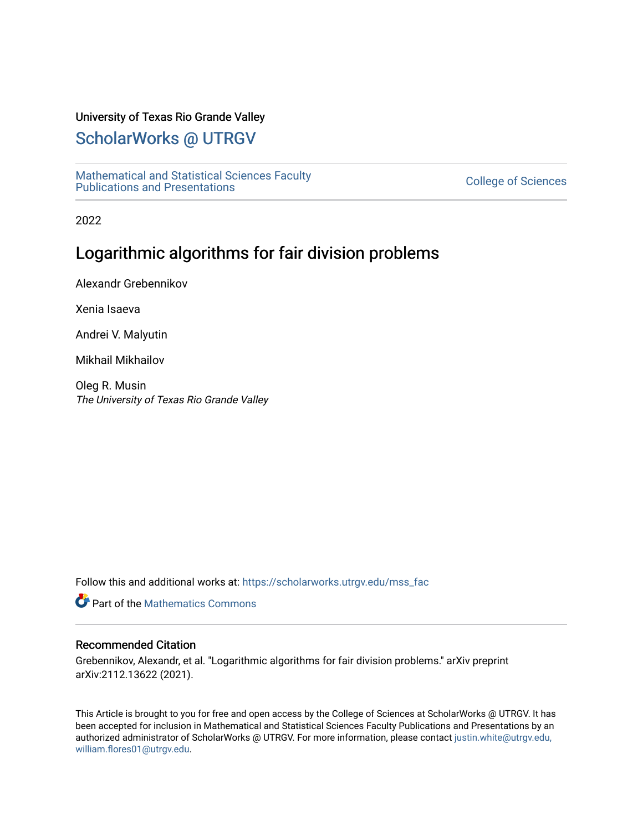# University of Texas Rio Grande Valley

# [ScholarWorks @ UTRGV](https://scholarworks.utrgv.edu/)

[Mathematical and Statistical Sciences Faculty](https://scholarworks.utrgv.edu/mss_fac)  mathematical and Statistical Sciences Faculty<br>Publications and Presentations

2022

# Logarithmic algorithms for fair division problems

Alexandr Grebennikov

Xenia Isaeva

Andrei V. Malyutin

Mikhail Mikhailov

Oleg R. Musin The University of Texas Rio Grande Valley

Follow this and additional works at: [https://scholarworks.utrgv.edu/mss\\_fac](https://scholarworks.utrgv.edu/mss_fac?utm_source=scholarworks.utrgv.edu%2Fmss_fac%2F268&utm_medium=PDF&utm_campaign=PDFCoverPages) 

**C** Part of the [Mathematics Commons](http://network.bepress.com/hgg/discipline/174?utm_source=scholarworks.utrgv.edu%2Fmss_fac%2F268&utm_medium=PDF&utm_campaign=PDFCoverPages)

# Recommended Citation

Grebennikov, Alexandr, et al. "Logarithmic algorithms for fair division problems." arXiv preprint arXiv:2112.13622 (2021).

This Article is brought to you for free and open access by the College of Sciences at ScholarWorks @ UTRGV. It has been accepted for inclusion in Mathematical and Statistical Sciences Faculty Publications and Presentations by an authorized administrator of ScholarWorks @ UTRGV. For more information, please contact [justin.white@utrgv.edu,](mailto:justin.white@utrgv.edu,%20william.flores01@utrgv.edu)  [william.flores01@utrgv.edu](mailto:justin.white@utrgv.edu,%20william.flores01@utrgv.edu).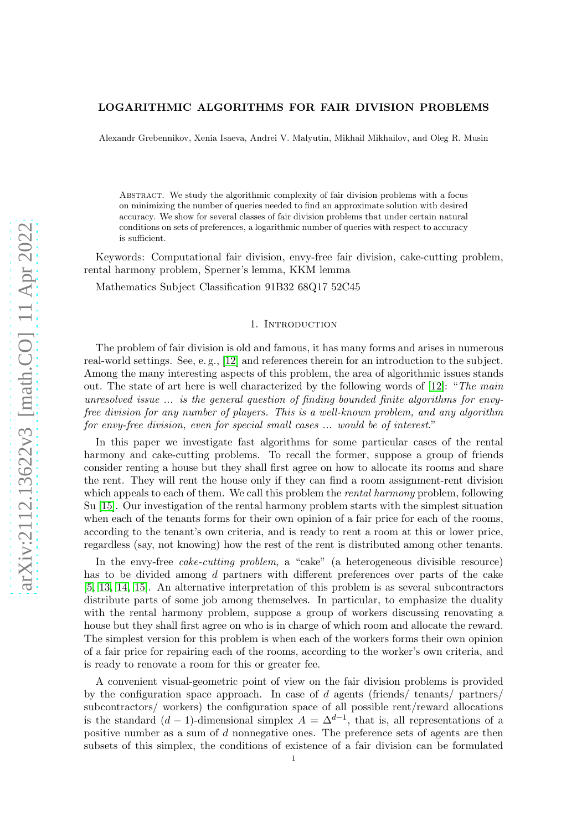### LOGARITHMIC ALGORITHMS FOR FAIR DIVISION PROBLEMS

Alexandr Grebennikov, Xenia Isaeva, Andrei V. Malyutin, Mikhail Mikhailov, and Oleg R. Musin

Abstract. We study the algorithmic complexity of fair division problems with a focus on minimizing the number of queries needed to find an approximate solution with desired accuracy. We show for several classes of fair division problems that under certain natural conditions on sets of preferences, a logarithmic number of queries with respect to accuracy is sufficient.

Keywords: Computational fair division, envy-free fair division, cake-cutting problem, rental harmony problem, Sperner's lemma, KKM lemma

Mathematics Subject Classification 91B32 68Q17 52C45

#### 1. INTRODUCTION

The problem of fair division is old and famous, it has many forms and arises in numerous real-world settings. See, e. g., [\[12\]](#page-10-0) and references therein for an introduction to the subject. Among the many interesting aspects of this problem, the area of algorithmic issues stands out. The state of art here is well characterized by the following words of [\[12\]](#page-10-0): "The main unresolved issue ... is the general question of finding bounded finite algorithms for envyfree division for any number of players. This is a well-known problem, and any algorithm for envy-free division, even for special small cases ... would be of interest."

In this paper we investigate fast algorithms for some particular cases of the rental harmony and cake-cutting problems. To recall the former, suppose a group of friends consider renting a house but they shall first agree on how to allocate its rooms and share the rent. They will rent the house only if they can find a room assignment-rent division which appeals to each of them. We call this problem the *rental harmony* problem, following Su [\[15\]](#page-10-1). Our investigation of the rental harmony problem starts with the simplest situation when each of the tenants forms for their own opinion of a fair price for each of the rooms, according to the tenant's own criteria, and is ready to rent a room at this or lower price, regardless (say, not knowing) how the rest of the rent is distributed among other tenants.

In the envy-free cake-cutting problem, a "cake" (a heterogeneous divisible resource) has to be divided among d partners with different preferences over parts of the cake [\[5,](#page-10-2) [13,](#page-10-3) [14,](#page-10-4) [15\]](#page-10-1). An alternative interpretation of this problem is as several subcontractors distribute parts of some job among themselves. In particular, to emphasize the duality with the rental harmony problem, suppose a group of workers discussing renovating a house but they shall first agree on who is in charge of which room and allocate the reward. The simplest version for this problem is when each of the workers forms their own opinion of a fair price for repairing each of the rooms, according to the worker's own criteria, and is ready to renovate a room for this or greater fee.

A convenient visual-geometric point of view on the fair division problems is provided by the configuration space approach. In case of d agents (friends/ tenants/ partners/ subcontractors/ workers) the configuration space of all possible rent/reward allocations is the standard  $(d-1)$ -dimensional simplex  $A = \Delta^{d-1}$ , that is, all representations of a positive number as a sum of d nonnegative ones. The preference sets of agents are then subsets of this simplex, the conditions of existence of a fair division can be formulated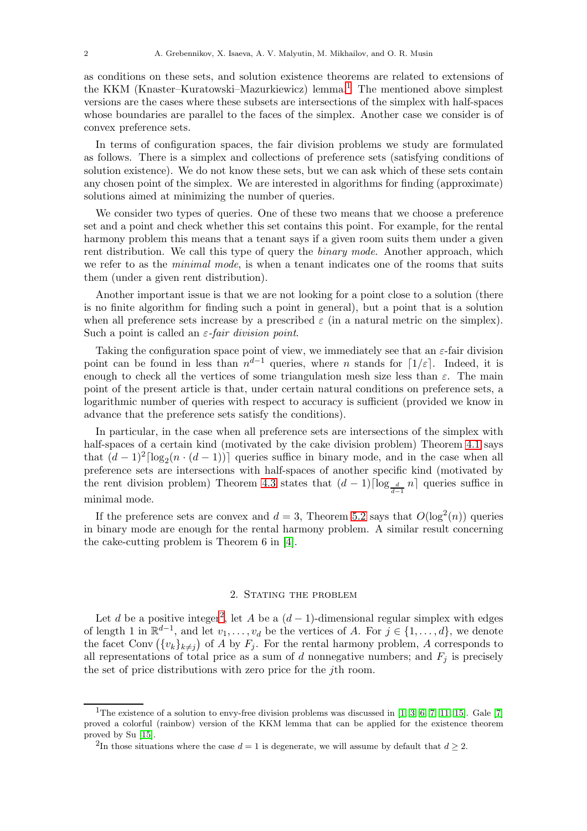as conditions on these sets, and solution existence theorems are related to extensions of the KKM (Knaster–Kuratowski–Mazurkiewicz) lemma.<sup>[1](#page-2-0)</sup> The mentioned above simplest versions are the cases where these subsets are intersections of the simplex with half-spaces whose boundaries are parallel to the faces of the simplex. Another case we consider is of convex preference sets.

In terms of configuration spaces, the fair division problems we study are formulated as follows. There is a simplex and collections of preference sets (satisfying conditions of solution existence). We do not know these sets, but we can ask which of these sets contain any chosen point of the simplex. We are interested in algorithms for finding (approximate) solutions aimed at minimizing the number of queries.

We consider two types of queries. One of these two means that we choose a preference set and a point and check whether this set contains this point. For example, for the rental harmony problem this means that a tenant says if a given room suits them under a given rent distribution. We call this type of query the *binary mode*. Another approach, which we refer to as the *minimal mode*, is when a tenant indicates one of the rooms that suits them (under a given rent distribution).

Another important issue is that we are not looking for a point close to a solution (there is no finite algorithm for finding such a point in general), but a point that is a solution when all preference sets increase by a prescribed  $\varepsilon$  (in a natural metric on the simplex). Such a point is called an  $\varepsilon$ -fair division point.

Taking the configuration space point of view, we immediately see that an  $\varepsilon$ -fair division point can be found in less than  $n^{d-1}$  queries, where n stands for  $\lceil 1/\varepsilon \rceil$ . Indeed, it is enough to check all the vertices of some triangulation mesh size less than  $\varepsilon$ . The main point of the present article is that, under certain natural conditions on preference sets, a logarithmic number of queries with respect to accuracy is sufficient (provided we know in advance that the preference sets satisfy the conditions).

In particular, in the case when all preference sets are intersections of the simplex with half-spaces of a certain kind (motivated by the cake division problem) Theorem [4.1](#page-5-0) says that  $(d-1)^2 \lceil \log_2(n \cdot (d-1)) \rceil$  queries suffice in binary mode, and in the case when all preference sets are intersections with half-spaces of another specific kind (motivated by the rent division problem) Theorem [4.3](#page-6-0) states that  $(d-1)\lceil \log_{\frac{d}{d-1}} n \rceil$  queries suffice in minimal mode.

If the preference sets are convex and  $d = 3$ , Theorem [5.2](#page-7-0) says that  $O(\log^2(n))$  queries in binary mode are enough for the rental harmony problem. A similar result concerning the cake-cutting problem is Theorem 6 in [\[4\]](#page-10-5).

# 2. STATING THE PROBLEM

<span id="page-2-2"></span>Let d be a positive integer<sup>[2](#page-2-1)</sup>, let A be a  $(d-1)$ -dimensional regular simplex with edges of length 1 in  $\mathbb{R}^{d-1}$ , and let  $v_1, \ldots, v_d$  be the vertices of A. For  $j \in \{1, \ldots, d\}$ , we denote the facet Conv  $(\{v_k\}_{k\neq j})$  of A by  $F_j$ . For the rental harmony problem, A corresponds to all representations of total price as a sum of d nonnegative numbers; and  $F_j$  is precisely the set of price distributions with zero price for the jth room.

<span id="page-2-0"></span><sup>&</sup>lt;sup>1</sup>The existence of a solution to envy-free division problems was discussed in [\[1,](#page-10-6) [3,](#page-10-7) [6,](#page-10-8) [7,](#page-10-9) [11,](#page-10-10) [15\]](#page-10-1). Gale [\[7\]](#page-10-9) proved a colorful (rainbow) version of the KKM lemma that can be applied for the existence theorem proved by Su [\[15\]](#page-10-1).

<span id="page-2-1"></span><sup>&</sup>lt;sup>2</sup>In those situations where the case  $d = 1$  is degenerate, we will assume by default that  $d \geq 2$ .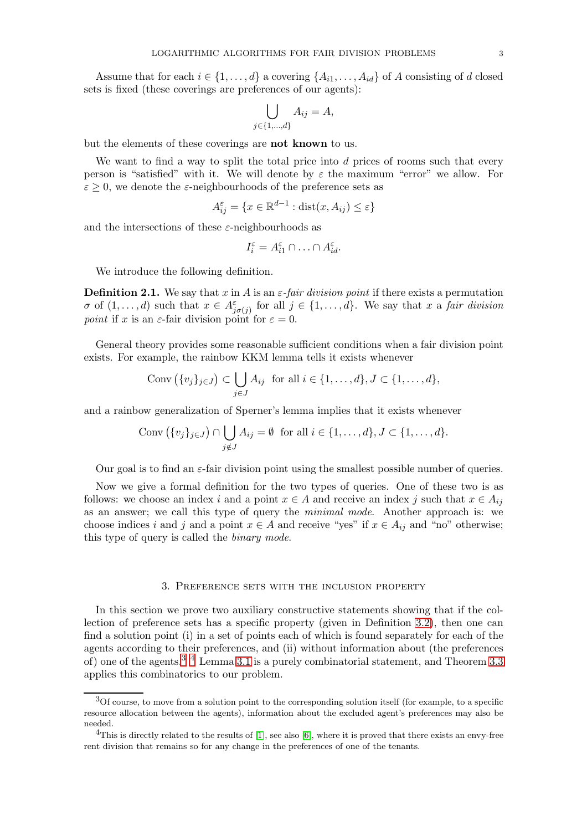Assume that for each  $i \in \{1, \ldots, d\}$  a covering  $\{A_{i1}, \ldots, A_{id}\}\$  of A consisting of d closed sets is fixed (these coverings are preferences of our agents):

$$
\bigcup_{j \in \{1, \dots, d\}} A_{ij} = A,
$$

but the elements of these coverings are not known to us.

We want to find a way to split the total price into  $d$  prices of rooms such that every person is "satisfied" with it. We will denote by  $\varepsilon$  the maximum "error" we allow. For  $\varepsilon \geq 0$ , we denote the  $\varepsilon$ -neighbourhoods of the preference sets as

$$
A_{ij}^{\varepsilon} = \{ x \in \mathbb{R}^{d-1} : \text{dist}(x, A_{ij}) \le \varepsilon \}
$$

and the intersections of these  $\varepsilon$ -neighbourhoods as

$$
I_i^{\varepsilon}=A_{i1}^{\varepsilon}\cap\ldots\cap A_{id}^{\varepsilon}.
$$

We introduce the following definition.

**Definition 2.1.** We say that x in A is an  $\varepsilon$ -fair division point if there exists a permutation  $\sigma$  of  $(1,\ldots,d)$  such that  $x \in A_{j\sigma(j)}^{\varepsilon}$  for all  $j \in \{1,\ldots,d\}$ . We say that x a fair division *point* if x is an  $\varepsilon$ -fair division point for  $\varepsilon = 0$ .

General theory provides some reasonable sufficient conditions when a fair division point exists. For example, the rainbow KKM lemma tells it exists whenever

Conv 
$$
(\{v_j\}_{j\in J}) \subset \bigcup_{j\in J} A_{ij}
$$
 for all  $i \in \{1,\ldots,d\}, J \subset \{1,\ldots,d\},$ 

and a rainbow generalization of Sperner's lemma implies that it exists whenever

Conv 
$$
(\{v_j\}_{j\in J}) \cap \bigcup_{j \notin J} A_{ij} = \emptyset
$$
 for all  $i \in \{1, ..., d\}, J \subset \{1, ..., d\}.$ 

Our goal is to find an  $\varepsilon$ -fair division point using the smallest possible number of queries.

Now we give a formal definition for the two types of queries. One of these two is as follows: we choose an index i and a point  $x \in A$  and receive an index j such that  $x \in A_{ij}$ as an answer; we call this type of query the minimal mode. Another approach is: we choose indices i and j and a point  $x \in A$  and receive "yes" if  $x \in A_{ij}$  and "no" otherwise; this type of query is called the binary mode.

#### 3. Preference sets with the inclusion property

In this section we prove two auxiliary constructive statements showing that if the collection of preference sets has a specific property (given in Definition [3.2\)](#page-4-0), then one can find a solution point (i) in a set of points each of which is found separately for each of the agents according to their preferences, and (ii) without information about (the preferences of) one of the agents.<sup>[3](#page-3-0) [4](#page-3-1)</sup> Lemma [3.1](#page-4-1) is a purely combinatorial statement, and Theorem [3.3](#page-4-2) applies this combinatorics to our problem.

<span id="page-3-0"></span><sup>&</sup>lt;sup>3</sup>Of course, to move from a solution point to the corresponding solution itself (for example, to a specific resource allocation between the agents), information about the excluded agent's preferences may also be needed.

<span id="page-3-1"></span> ${}^{4}$ This is directly related to the results of [\[1\]](#page-10-6), see also [\[6\]](#page-10-8), where it is proved that there exists an envy-free rent division that remains so for any change in the preferences of one of the tenants.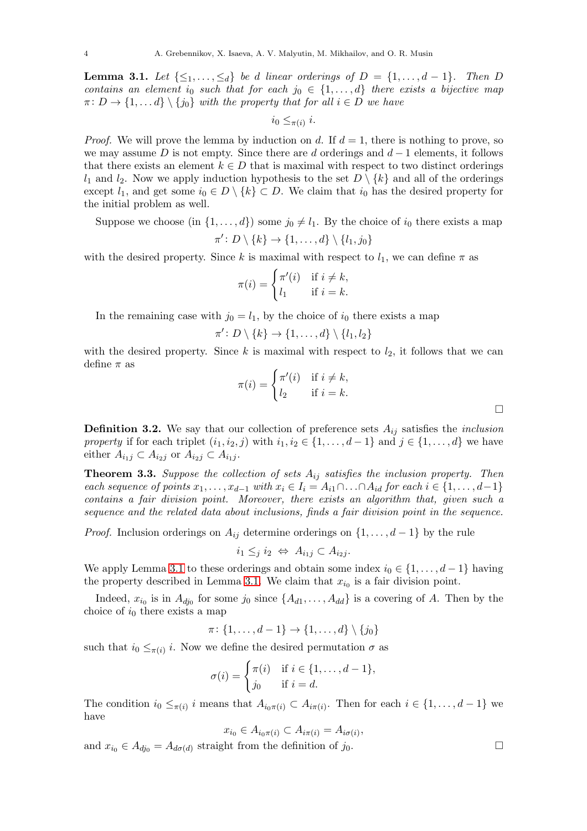<span id="page-4-1"></span>**Lemma 3.1.** Let  $\{\leq_1,\ldots,\leq_d\}$  be d linear orderings of  $D = \{1,\ldots,d-1\}$ . Then D contains an element i<sub>0</sub> such that for each  $j_0 \in \{1, ..., d\}$  there exists a bijective map  $\pi: D \to \{1, \ldots d\} \setminus \{j_0\}$  with the property that for all  $i \in D$  we have

$$
i_0 \leq_{\pi(i)} i.
$$

*Proof.* We will prove the lemma by induction on d. If  $d = 1$ , there is nothing to prove, so we may assume D is not empty. Since there are d orderings and  $d-1$  elements, it follows that there exists an element  $k \in D$  that is maximal with respect to two distinct orderings  $l_1$  and  $l_2$ . Now we apply induction hypothesis to the set  $D \setminus \{k\}$  and all of the orderings except  $l_1$ , and get some  $i_0 \in D \setminus \{k\} \subset D$ . We claim that  $i_0$  has the desired property for the initial problem as well.

Suppose we choose (in  $\{1,\ldots,d\}$ ) some  $j_0 \neq l_1$ . By the choice of  $i_0$  there exists a map  $\pi'\colon D\setminus\{k\}\to\{1,\ldots,d\}\setminus\{l_1,j_0\}$ 

with the desired property. Since k is maximal with respect to  $l_1$ , we can define  $\pi$  as

$$
\pi(i) = \begin{cases} \pi'(i) & \text{if } i \neq k, \\ l_1 & \text{if } i = k. \end{cases}
$$

In the remaining case with  $j_0 = l_1$ , by the choice of  $i_0$  there exists a map

 $\pi' : D \setminus \{k\} \rightarrow \{1, \ldots, d\} \setminus \{l_1, l_2\}$ 

with the desired property. Since k is maximal with respect to  $l_2$ , it follows that we can define  $\pi$  as

$$
\pi(i) = \begin{cases} \pi'(i) & \text{if } i \neq k, \\ l_2 & \text{if } i = k. \end{cases}
$$

<span id="page-4-0"></span>**Definition 3.2.** We say that our collection of preference sets  $A_{ij}$  satisfies the *inclusion* property if for each triplet  $(i_1, i_2, j)$  with  $i_1, i_2 \in \{1, \ldots, d-1\}$  and  $j \in \{1, \ldots, d\}$  we have either  $A_{i_1j} \subset A_{i_2j}$  or  $A_{i_2j} \subset A_{i_1j}$ .

<span id="page-4-2"></span>**Theorem 3.3.** Suppose the collection of sets  $A_{ij}$  satisfies the inclusion property. Then each sequence of points  $x_1, \ldots, x_{d-1}$  with  $x_i \in I_i = A_{i1} \cap \ldots \cap A_{id}$  for each  $i \in \{1, \ldots, d-1\}$ contains a fair division point. Moreover, there exists an algorithm that, given such a sequence and the related data about inclusions, finds a fair division point in the sequence.

*Proof.* Inclusion orderings on  $A_{ij}$  determine orderings on  $\{1, \ldots, d-1\}$  by the rule

$$
i_1 \leq_j i_2 \Leftrightarrow A_{i_1j} \subset A_{i_2j}.
$$

We apply Lemma [3.1](#page-4-1) to these orderings and obtain some index  $i_0 \in \{1, \ldots, d-1\}$  having the property described in Lemma [3.1.](#page-4-1) We claim that  $x_{i_0}$  is a fair division point.

Indeed,  $x_{i_0}$  is in  $A_{dj_0}$  for some  $j_0$  since  $\{A_{d1}, \ldots, A_{dd}\}$  is a covering of A. Then by the choice of  $i_0$  there exists a map

 $\pi$ : {1, . . . , d – 1}  $\to$  {1, . . . , d} \ {j<sub>0</sub>}

such that  $i_0 \leq_{\pi(i)} i$ . Now we define the desired permutation  $\sigma$  as

$$
\sigma(i) = \begin{cases} \pi(i) & \text{if } i \in \{1, \dots, d-1\}, \\ j_0 & \text{if } i = d. \end{cases}
$$

The condition  $i_0 \leq_{\pi(i)} i$  means that  $A_{i_0\pi(i)} \subset A_{i\pi(i)}$ . Then for each  $i \in \{1, ..., d-1\}$  we have

$$
x_{i_0} \in A_{i_0 \pi(i)} \subset A_{i \pi(i)} = A_{i \sigma(i)},
$$

and  $x_{i_0} \in A_{dj_0} = A_{d\sigma(d)}$  straight from the definition of  $j_0$ .

 $\Box$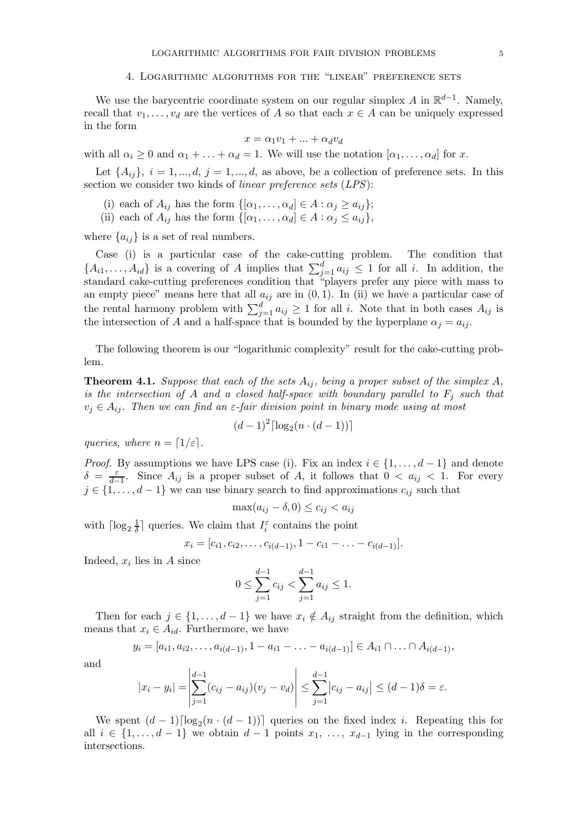### 4. Logarithmic algorithms for the "linear" preference sets

<span id="page-5-1"></span>We use the barycentric coordinate system on our regular simplex A in  $\mathbb{R}^{d-1}$ . Namely, recall that  $v_1, \ldots, v_d$  are the vertices of A so that each  $x \in A$  can be uniquely expressed in the form

$$
x = \alpha_1 v_1 + \ldots + \alpha_d v_d
$$

with all  $\alpha_i \geq 0$  and  $\alpha_1 + \ldots + \alpha_d = 1$ . We will use the notation  $[\alpha_1, \ldots, \alpha_d]$  for x.

Let  $\{A_{ij}\}, i = 1, ..., d, j = 1, ..., d$ , as above, be a collection of preference sets. In this section we consider two kinds of *linear preference sets* (*LPS*):

(i) each of  $A_{ij}$  has the form  $\{[\alpha_1, \ldots, \alpha_d] \in A : \alpha_j \ge a_{ij}\};$ 

(ii) each of  $A_{ij}$  has the form  $\{[\alpha_1, \ldots, \alpha_d] \in A : \alpha_j \leq a_{ij}\},\$ 

where  ${a_{ij}}$  is a set of real numbers.

Case (i) is a particular case of the cake-cutting problem. The condition that  $\{A_{i1},\ldots,A_{id}\}\$ is a covering of A implies that  $\sum_{j=1}^d a_{ij} \leq 1$  for all i. In addition, the standard cake-cutting preferences condition that "players prefer any piece with mass to an empty piece" means here that all  $a_{ij}$  are in  $(0, 1)$ . In (ii) we have a particular case of the rental harmony problem with  $\sum_{j=1}^{d} a_{ij} \geq 1$  for all i. Note that in both cases  $A_{ij}$  is the intersection of A and a half-space that is bounded by the hyperplane  $\alpha_i = a_{ij}$ .

The following theorem is our "logarithmic complexity" result for the cake-cutting problem.

<span id="page-5-0"></span>**Theorem 4.1.** Suppose that each of the sets  $A_{ij}$ , being a proper subset of the simplex A, is the intersection of A and a closed half-space with boundary parallel to  $F_i$  such that  $v_j \in A_{ij}$ . Then we can find an  $\varepsilon$ -fair division point in binary mode using at most

$$
(d-1)^2 \lceil \log_2(n \cdot (d-1)) \rceil
$$

queries, where  $n = \lfloor 1/\varepsilon \rfloor$ .

*Proof.* By assumptions we have LPS case (i). Fix an index  $i \in \{1, ..., d-1\}$  and denote  $\delta = \frac{\varepsilon}{d-1}$  $\frac{\varepsilon}{d-1}$ . Since  $A_{ij}$  is a proper subset of A, it follows that  $0 < a_{ij} < 1$ . For every  $j \in \{1, \ldots, d-1\}$  we can use binary search to find approximations  $c_{ij}$  such that

$$
\max(a_{ij} - \delta, 0) \le c_{ij} < a_{ij}
$$

with  $\lceil \log_2 \frac{1}{\delta} \rceil$  $\frac{1}{\delta}$  queries. We claim that  $I_i^{\varepsilon}$  contains the point

$$
x_i = [c_{i1}, c_{i2}, \dots, c_{i(d-1)}, 1 - c_{i1} - \dots - c_{i(d-1)}].
$$

Indeed,  $x_i$  lies in A since

$$
0 \le \sum_{j=1}^{d-1} c_{ij} < \sum_{j=1}^{d-1} a_{ij} \le 1.
$$

Then for each  $j \in \{1, \ldots, d-1\}$  we have  $x_i \notin A_{ij}$  straight from the definition, which means that  $x_i \in A_{id}$ . Furthermore, we have

$$
y_i = [a_{i1}, a_{i2}, \dots, a_{i(d-1)}, 1 - a_{i1} - \dots - a_{i(d-1)}] \in A_{i1} \cap \dots \cap A_{i(d-1)},
$$

and

$$
|x_i - y_i| = \left| \sum_{j=1}^{d-1} (c_{ij} - a_{ij})(v_j - v_d) \right| \le \sum_{j=1}^{d-1} |c_{ij} - a_{ij}| \le (d-1)\delta = \varepsilon.
$$

We spent  $(d-1)\lceil \log_2(n \cdot (d-1)) \rceil$  queries on the fixed index *i*. Repeating this for all  $i \in \{1, \ldots, d-1\}$  we obtain  $d-1$  points  $x_1, \ldots, x_{d-1}$  lying in the corresponding intersections.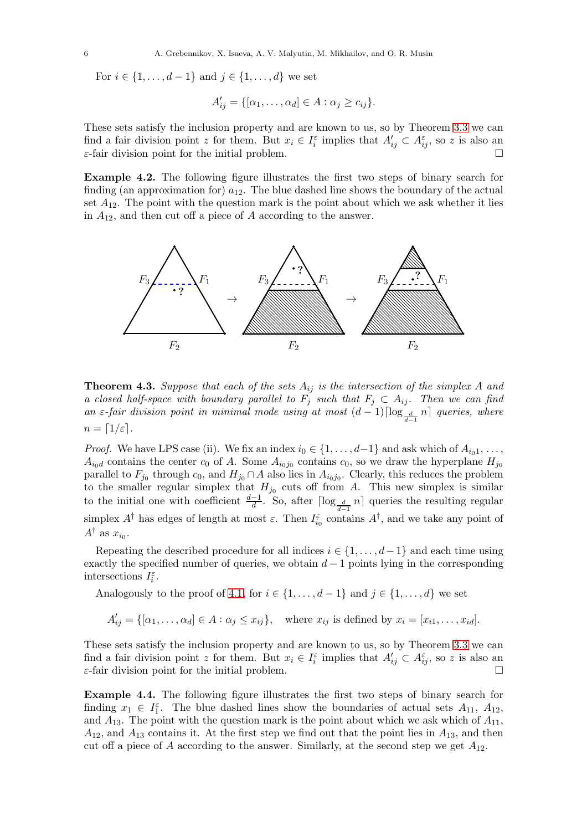For  $i \in \{1, ..., d-1\}$  and  $j \in \{1, ..., d\}$  we set

$$
A'_{ij} = \{[\alpha_1,\ldots,\alpha_d] \in A : \alpha_j \geq c_{ij}\}.
$$

These sets satisfy the inclusion property and are known to us, so by Theorem [3.3](#page-4-2) we can find a fair division point z for them. But  $x_i \in I_i^{\varepsilon}$  implies that  $A'_{ij} \subset A_{ij}^{\varepsilon}$ , so z is also an  $\varepsilon$ -fair division point for the initial problem.

Example 4.2. The following figure illustrates the first two steps of binary search for finding (an approximation for)  $a_{12}$ . The blue dashed line shows the boundary of the actual set  $A_{12}$ . The point with the question mark is the point about which we ask whether it lies in  $A_{12}$ , and then cut off a piece of A according to the answer.



<span id="page-6-0"></span>**Theorem 4.3.** Suppose that each of the sets  $A_{ij}$  is the intersection of the simplex A and a closed half-space with boundary parallel to  $F_j$  such that  $F_j \subset A_{ij}$ . Then we can find an  $\varepsilon$ -fair division point in minimal mode using at most  $(d-1)\lceil \log_{\frac{d}{d-1}} n \rceil$  queries, where  $n = \lceil 1/\varepsilon \rceil$ .

*Proof.* We have LPS case (ii). We fix an index  $i_0 \in \{1, \ldots, d-1\}$  and ask which of  $A_{i_01}, \ldots,$  $A_{i_0d}$  contains the center  $c_0$  of A. Some  $A_{i_0j_0}$  contains  $c_0$ , so we draw the hyperplane  $H_{j_0}$ parallel to  $F_{j_0}$  through  $c_0$ , and  $H_{j_0} \cap A$  also lies in  $A_{i_0j_0}$ . Clearly, this reduces the problem to the smaller regular simplex that  $H_{j_0}$  cuts off from A. This new simplex is similar to the initial one with coefficient  $\frac{d-1}{d}$ . So, after  $\lceil \log_{\frac{d}{d-1}} n \rceil$  queries the resulting regular simplex  $A^{\dagger}$  has edges of length at most  $\varepsilon$ . Then  $I_{i_0}^{\varepsilon}$  contains  $A^{\dagger}$ , and we take any point of  $A^{\dagger}$  as  $x_{i_0}$ .

Repeating the described procedure for all indices  $i \in \{1, \ldots, d-1\}$  and each time using exactly the specified number of queries, we obtain  $d-1$  points lying in the corresponding intersections  $I_i^{\varepsilon}$ .

Analogously to the proof of [4.1,](#page-5-0) for  $i \in \{1, ..., d-1\}$  and  $j \in \{1, ..., d\}$  we set

$$
A'_{ij} = \{ [\alpha_1, \dots, \alpha_d] \in A : \alpha_j \le x_{ij} \}, \text{ where } x_{ij} \text{ is defined by } x_i = [x_{i1}, \dots, x_{id}].
$$

These sets satisfy the inclusion property and are known to us, so by Theorem [3.3](#page-4-2) we can find a fair division point z for them. But  $x_i \in I_i^{\varepsilon}$  implies that  $A'_{ij} \subset A_{ij}^{\varepsilon}$ , so z is also an  $\varepsilon$ -fair division point for the initial problem.

Example 4.4. The following figure illustrates the first two steps of binary search for finding  $x_1 \in I_1^{\varepsilon}$ . The blue dashed lines show the boundaries of actual sets  $A_{11}$ ,  $A_{12}$ , and  $A_{13}$ . The point with the question mark is the point about which we ask which of  $A_{11}$ ,  $A_{12}$ , and  $A_{13}$  contains it. At the first step we find out that the point lies in  $A_{13}$ , and then cut off a piece of A according to the answer. Similarly, at the second step we get  $A_{12}$ .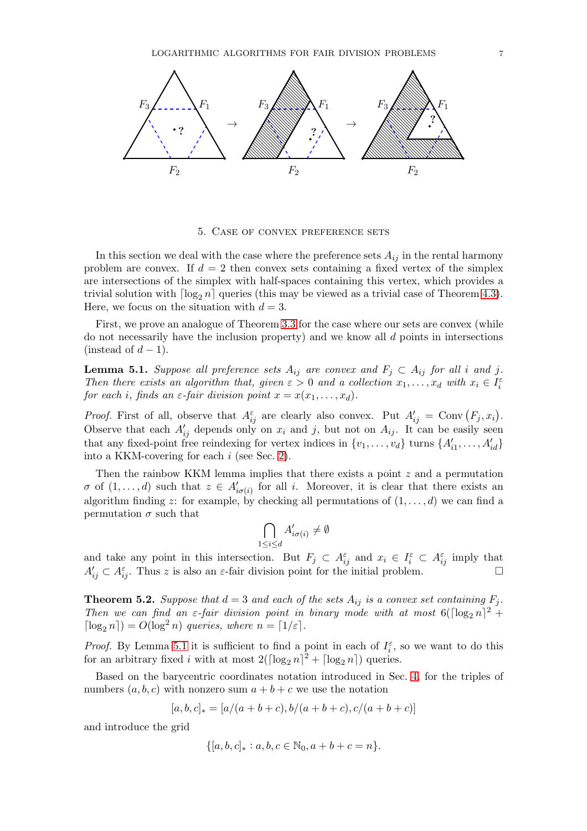

5. Case of convex preference sets

In this section we deal with the case where the preference sets  $A_{ij}$  in the rental harmony problem are convex. If  $d = 2$  then convex sets containing a fixed vertex of the simplex are intersections of the simplex with half-spaces containing this vertex, which provides a trivial solution with  $\lceil \log_2 n \rceil$  queries (this may be viewed as a trivial case of Theorem 4.[3\)](#page-6-0). Here, we focus on the situation with  $d = 3$ .

First, we prove an analogue of Theorem [3.3](#page-4-2) for the case where our sets are convex (while do not necessarily have the inclusion property) and we know all d points in intersections (instead of  $d-1$ ).

<span id="page-7-1"></span>**Lemma 5.1.** Suppose all preference sets  $A_{ij}$  are convex and  $F_j \subset A_{ij}$  for all i and j. Then there exists an algorithm that, given  $\varepsilon > 0$  and a collection  $x_1, \ldots, x_d$  with  $x_i \in I_i^{\varepsilon}$ for each i, finds an  $\varepsilon$ -fair division point  $x = x(x_1, \ldots, x_d)$ .

*Proof.* First of all, observe that  $A_{ij}^{\varepsilon}$  are clearly also convex. Put  $A'_{ij} = \text{Conv}(F_j, x_i)$ . Observe that each  $A'_{ij}$  depends only on  $x_i$  and j, but not on  $A_{ij}$ . It can be easily seen that any fixed-point free reindexing for vertex indices in  $\{v_1, \ldots, v_d\}$  turns  $\{A'_{i1}, \ldots, A'_{id}\}$ into a KKM-covering for each i (see Sec. [2\)](#page-2-2).

Then the rainbow KKM lemma implies that there exists a point z and a permutation  $\sigma$  of  $(1,\ldots,d)$  such that  $z \in A'_{i\sigma(i)}$  for all i. Moreover, it is clear that there exists an algorithm finding z: for example, by checking all permutations of  $(1, \ldots, d)$  we can find a permutation  $\sigma$  such that

$$
\bigcap_{1 \le i \le d} A'_{i\sigma(i)} \neq \emptyset
$$

and take any point in this intersection. But  $F_j \subset A_{ij}^{\varepsilon}$  and  $x_i \in I_i^{\varepsilon} \subset A_{ij}^{\varepsilon}$  imply that  $A'_{ij} \subset A_{ij}^{\varepsilon}$ . Thus z is also an  $\varepsilon$ -fair division point for the initial problem.

<span id="page-7-0"></span>**Theorem 5.2.** Suppose that  $d = 3$  and each of the sets  $A_{ij}$  is a convex set containing  $F_i$ . Then we can find an  $\varepsilon$ -fair division point in binary mode with at most  $6(\lceil \log_2 n \rceil^2 +$  $\lceil \log_2 n \rceil$ ) =  $O(\log^2 n)$  queries, where  $n = \lceil 1/\varepsilon \rceil$ .

*Proof.* By Lemma [5.1](#page-7-1) it is sufficient to find a point in each of  $I_i^{\varepsilon}$ , so we want to do this for an arbitrary fixed *i* with at most  $2(\lceil \log_2 n \rceil^2 + \lceil \log_2 n \rceil)$  queries.

Based on the barycentric coordinates notation introduced in Sec. [4,](#page-5-1) for the triples of numbers  $(a, b, c)$  with nonzero sum  $a + b + c$  we use the notation

$$
[a, b, c]_* = [a/(a+b+c), b/(a+b+c), c/(a+b+c)]
$$

and introduce the grid

$$
\{[a, b, c]_* : a, b, c \in \mathbb{N}_0, a+b+c=n\}.
$$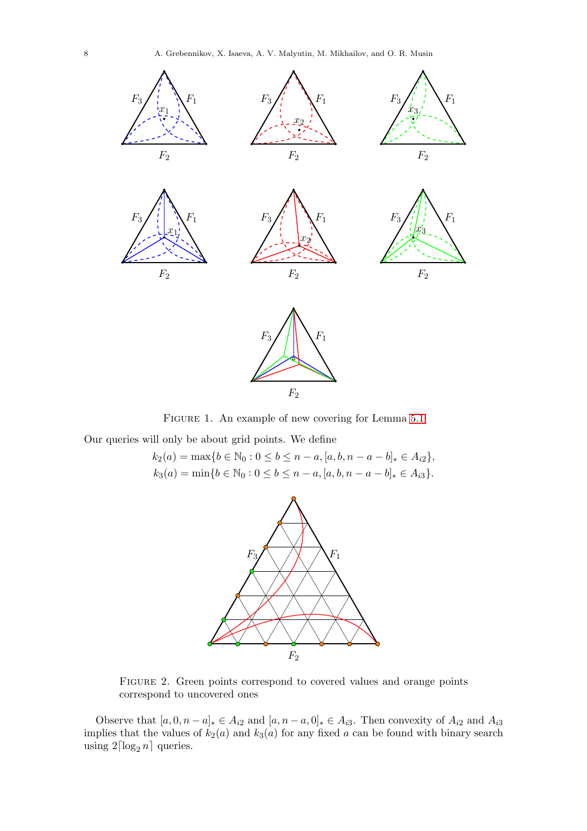

FIGURE 1. An example of new covering for Lemma [5.1](#page-7-1)

Our queries will only be about grid points. We define

$$
k_2(a) = \max\{b \in \mathbb{N}_0 : 0 \le b \le n - a, [a, b, n - a - b]_* \in A_{i2}\},\
$$
  

$$
k_3(a) = \min\{b \in \mathbb{N}_0 : 0 \le b \le n - a, [a, b, n - a - b]_* \in A_{i3}\}.
$$



Figure 2. Green points correspond to covered values and orange points correspond to uncovered ones

Observe that  $[a, 0, n - a]_* \in A_{i2}$  and  $[a, n - a, 0]_* \in A_{i3}$ . Then convexity of  $A_{i2}$  and  $A_{i3}$ implies that the values of  $k_2(a)$  and  $k_3(a)$  for any fixed a can be found with binary search using  $2\lceil\log_2 n\rceil$  queries.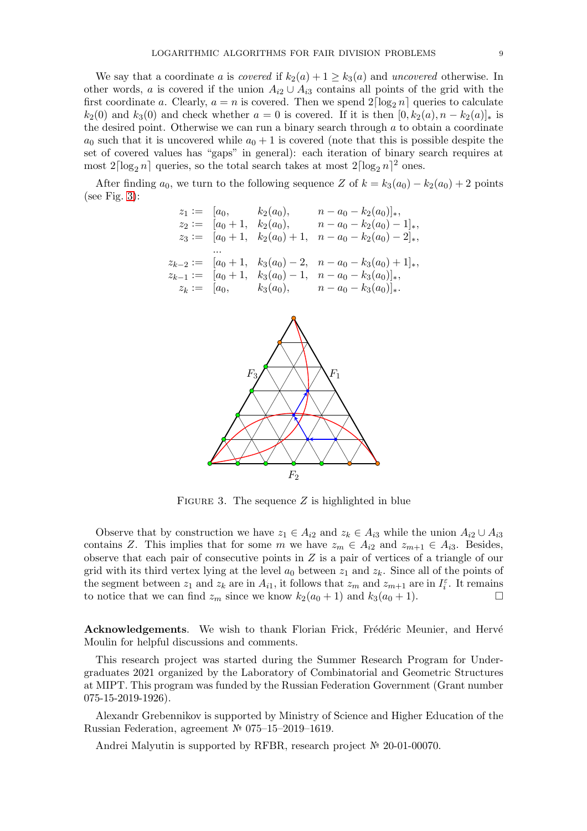We say that a coordinate a is *covered* if  $k_2(a) + 1 \geq k_3(a)$  and *uncovered* otherwise. In other words, a is covered if the union  $A_{i2} \cup A_{i3}$  contains all points of the grid with the first coordinate a. Clearly,  $a = n$  is covered. Then we spend  $2\lceil \log_2 n \rceil$  queries to calculate  $k_2(0)$  and  $k_3(0)$  and check whether  $a = 0$  is covered. If it is then  $[0, k_2(a), n - k_2(a)]_*$  is the desired point. Otherwise we can run a binary search through  $a$  to obtain a coordinate  $a_0$  such that it is uncovered while  $a_0 + 1$  is covered (note that this is possible despite the set of covered values has "gaps" in general): each iteration of binary search requires at most  $2\lceil \log_2 n \rceil$  queries, so the total search takes at most  $2\lceil \log_2 n \rceil^2$  ones.

After finding  $a_0$ , we turn to the following sequence Z of  $k = k_3(a_0) - k_2(a_0) + 2$  points (see Fig. [3\)](#page-9-0):

$$
z_1 := [a_0, k_2(a_0), n - a_0 - k_2(a_0)]_*,
$$
  
\n
$$
z_2 := [a_0 + 1, k_2(a_0), n - a_0 - k_2(a_0) - 1]_*,
$$
  
\n
$$
z_3 := [a_0 + 1, k_2(a_0) + 1, n - a_0 - k_2(a_0) - 2]_*,
$$
  
\n...  
\n
$$
z_{k-2} := [a_0 + 1, k_3(a_0) - 2, n - a_0 - k_3(a_0) + 1]_*,
$$
  
\n
$$
z_{k-1} := [a_0 + 1, k_3(a_0) - 1, n - a_0 - k_3(a_0)]_*,
$$
  
\n
$$
z_k := [a_0, k_3(a_0), n - a_0 - k_3(a_0)]_*.
$$

<span id="page-9-0"></span>

FIGURE 3. The sequence  $Z$  is highlighted in blue

Observe that by construction we have  $z_1 \in A_{i2}$  and  $z_k \in A_{i3}$  while the union  $A_{i2} \cup A_{i3}$ contains Z. This implies that for some m we have  $z_m \in A_{i2}$  and  $z_{m+1} \in A_{i3}$ . Besides, observe that each pair of consecutive points in  $Z$  is a pair of vertices of a triangle of our grid with its third vertex lying at the level  $a_0$  between  $z_1$  and  $z_k$ . Since all of the points of the segment between  $z_1$  and  $z_k$  are in  $A_{i1}$ , it follows that  $z_m$  and  $z_{m+1}$  are in  $I_i^{\varepsilon}$ . It remains to notice that we can find  $z_m$  since we know  $k_2(a_0 + 1)$  and  $k_3(a_0 + 1)$ .

Acknowledgements. We wish to thank Florian Frick, Frédéric Meunier, and Hervé Moulin for helpful discussions and comments.

This research project was started during the Summer Research Program for Undergraduates 2021 organized by the Laboratory of Combinatorial and Geometric Structures at MIPT. This program was funded by the Russian Federation Government (Grant number 075-15-2019-1926).

Alexandr Grebennikov is supported by Ministry of Science and Higher Education of the Russian Federation, agreement № 075–15–2019–1619.

Andrei Malyutin is supported by RFBR, research project № 20-01-00070.